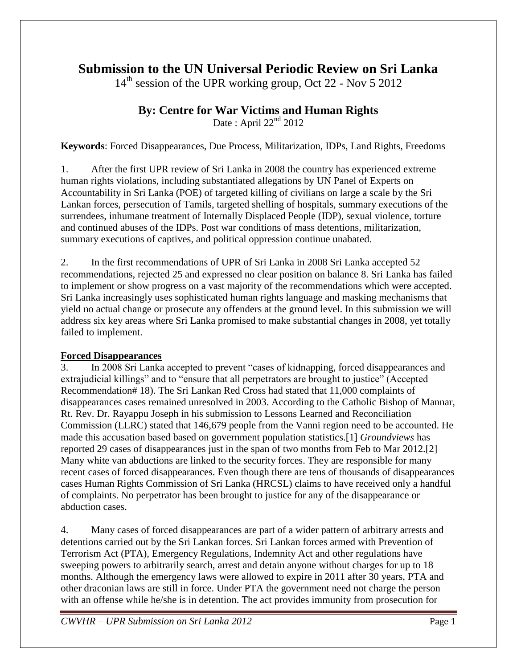# **Submission to the UN Universal Periodic Review on Sri Lanka**

 $14<sup>th</sup>$  session of the UPR working group, Oct 22 - Nov 5 2012

## **By: Centre for War Victims and Human Rights**

Date: April  $22<sup>nd</sup>$  2012

**Keywords**: Forced Disappearances, Due Process, Militarization, IDPs, Land Rights, Freedoms

1. After the first UPR review of Sri Lanka in 2008 the country has experienced extreme human rights violations, including substantiated allegations by UN Panel of Experts on Accountability in Sri Lanka (POE) of targeted killing of civilians on large a scale by the Sri Lankan forces, persecution of Tamils, targeted shelling of hospitals, summary executions of the surrendees, inhumane treatment of Internally Displaced People (IDP), sexual violence, torture and continued abuses of the IDPs. Post war conditions of mass detentions, militarization, summary executions of captives, and political oppression continue unabated.

2. In the first recommendations of UPR of Sri Lanka in 2008 Sri Lanka accepted 52 recommendations, rejected 25 and expressed no clear position on balance 8. Sri Lanka has failed to implement or show progress on a vast majority of the recommendations which were accepted. Sri Lanka increasingly uses sophisticated human rights language and masking mechanisms that yield no actual change or prosecute any offenders at the ground level. In this submission we will address six key areas where Sri Lanka promised to make substantial changes in 2008, yet totally failed to implement.

### **Forced Disappearances**

3. In 2008 Sri Lanka accepted to prevent "cases of kidnapping, forced disappearances and extrajudicial killings" and to "ensure that all perpetrators are brought to justice" (Accepted Recommendation# 18). The Sri Lankan Red Cross had stated that 11,000 complaints of disappearances cases remained unresolved in 2003. According to the Catholic Bishop of Mannar, Rt. Rev. Dr. Rayappu Joseph in his submission to Lessons Learned and Reconciliation Commission (LLRC) stated that 146,679 people from the Vanni region need to be accounted. He made this accusation based based on government population statistics.[1] *Groundviews* has reported 29 cases of disappearances just in the span of two months from Feb to Mar 2012.[2] Many white van abductions are linked to the security forces. They are responsible for many recent cases of forced disappearances. Even though there are tens of thousands of disappearances cases Human Rights Commission of Sri Lanka (HRCSL) claims to have received only a handful of complaints. No perpetrator has been brought to justice for any of the disappearance or abduction cases.

4. Many cases of forced disappearances are part of a wider pattern of arbitrary arrests and detentions carried out by the Sri Lankan forces. Sri Lankan forces armed with Prevention of Terrorism Act (PTA), Emergency Regulations, Indemnity Act and other regulations have sweeping powers to arbitrarily search, arrest and detain anyone without charges for up to 18 months. Although the emergency laws were allowed to expire in 2011 after 30 years, PTA and other draconian laws are still in force. Under PTA the government need not charge the person with an offense while he/she is in detention. The act provides immunity from prosecution for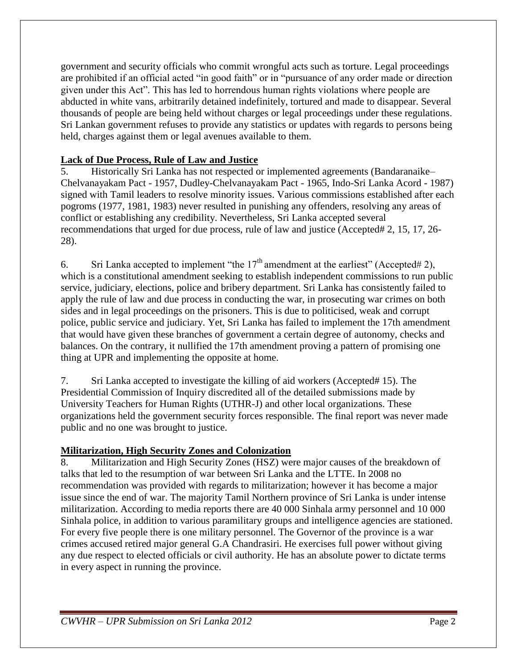government and security officials who commit wrongful acts such as torture. Legal proceedings are prohibited if an official acted "in good faith" or in "pursuance of any order made or direction given under this Act". This has led to horrendous human rights violations where people are abducted in white vans, arbitrarily detained indefinitely, tortured and made to disappear. Several thousands of people are being held without charges or legal proceedings under these regulations. Sri Lankan government refuses to provide any statistics or updates with regards to persons being held, charges against them or legal avenues available to them.

#### **Lack of Due Process, Rule of Law and Justice**

5. Historically Sri Lanka has not respected or implemented agreements (Bandaranaike– Chelvanayakam Pact - 1957, Dudley-Chelvanayakam Pact - 1965, Indo-Sri Lanka Acord - 1987) signed with Tamil leaders to resolve minority issues. Various commissions established after each pogroms (1977, 1981, 1983) never resulted in punishing any offenders, resolving any areas of conflict or establishing any credibility. Nevertheless, Sri Lanka accepted several recommendations that urged for due process, rule of law and justice (Accepted# 2, 15, 17, 26- 28).

6. Sri Lanka accepted to implement "the  $17<sup>th</sup>$  amendment at the earliest" (Accepted# 2), which is a constitutional amendment seeking to establish independent commissions to run public service, judiciary, elections, police and bribery department. Sri Lanka has consistently failed to apply the rule of law and due process in conducting the war, in prosecuting war crimes on both sides and in legal proceedings on the prisoners. This is due to politicised, weak and corrupt police, public service and judiciary. Yet, Sri Lanka has failed to implement the 17th amendment that would have given these branches of government a certain degree of autonomy, checks and balances. On the contrary, it nullified the 17th amendment proving a pattern of promising one thing at UPR and implementing the opposite at home.

7. Sri Lanka accepted to investigate the killing of aid workers (Accepted# 15). The Presidential Commission of Inquiry discredited all of the detailed submissions made by University Teachers for Human Rights (UTHR-J) and other local organizations. These organizations held the government security forces responsible. The final report was never made public and no one was brought to justice.

### **Militarization, High Security Zones and Colonization**

8. Militarization and High Security Zones (HSZ) were major causes of the breakdown of talks that led to the resumption of war between Sri Lanka and the LTTE. In 2008 no recommendation was provided with regards to militarization; however it has become a major issue since the end of war. The majority Tamil Northern province of Sri Lanka is under intense militarization. According to media reports there are 40 000 Sinhala army personnel and 10 000 Sinhala police, in addition to various paramilitary groups and intelligence agencies are stationed. For every five people there is one military personnel. The Governor of the province is a war crimes accused retired major general G.A Chandrasiri. He exercises full power without giving any due respect to elected officials or civil authority. He has an absolute power to dictate terms in every aspect in running the province.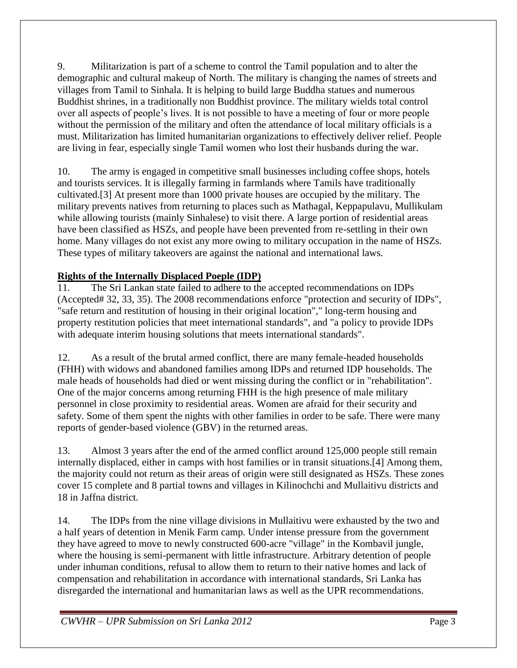9. Militarization is part of a scheme to control the Tamil population and to alter the demographic and cultural makeup of North. The military is changing the names of streets and villages from Tamil to Sinhala. It is helping to build large Buddha statues and numerous Buddhist shrines, in a traditionally non Buddhist province. The military wields total control over all aspects of people's lives. It is not possible to have a meeting of four or more people without the permission of the military and often the attendance of local military officials is a must. Militarization has limited humanitarian organizations to effectively deliver relief. People are living in fear, especially single Tamil women who lost their husbands during the war.

10. The army is engaged in competitive small businesses including coffee shops, hotels and tourists services. It is illegally farming in farmlands where Tamils have traditionally cultivated.[3] At present more than 1000 private houses are occupied by the military. The military prevents natives from returning to places such as Mathagal, Keppapulavu, Mullikulam while allowing tourists (mainly Sinhalese) to visit there. A large portion of residential areas have been classified as HSZs, and people have been prevented from re-settling in their own home. Many villages do not exist any more owing to military occupation in the name of HSZs. These types of military takeovers are against the national and international laws.

### **Rights of the Internally Displaced Poeple (IDP)**

11. The Sri Lankan state failed to adhere to the accepted recommendations on IDPs (Accepted# 32, 33, 35). The 2008 recommendations enforce "protection and security of IDPs", "safe return and restitution of housing in their original location"," long-term housing and property restitution policies that meet international standards", and "a policy to provide IDPs with adequate interim housing solutions that meets international standards".

12. As a result of the brutal armed conflict, there are many female-headed households (FHH) with widows and abandoned families among IDPs and returned IDP households. The male heads of households had died or went missing during the conflict or in "rehabilitation". One of the major concerns among returning FHH is the high presence of male military personnel in close proximity to residential areas. Women are afraid for their security and safety. Some of them spent the nights with other families in order to be safe. There were many reports of gender-based violence (GBV) in the returned areas.

13. Almost 3 years after the end of the armed conflict around 125,000 people still remain internally displaced, either in camps with host families or in transit situations.[4] Among them, the majority could not return as their areas of origin were still designated as HSZs. These zones cover 15 complete and 8 partial towns and villages in Kilinochchi and Mullaitivu districts and 18 in Jaffna district.

14. The IDPs from the nine village divisions in Mullaitivu were exhausted by the two and a half years of detention in Menik Farm camp. Under intense pressure from the government they have agreed to move to newly constructed 600-acre "village" in the Kombavil jungle, where the housing is semi-permanent with little infrastructure. Arbitrary detention of people under inhuman conditions, refusal to allow them to return to their native homes and lack of compensation and rehabilitation in accordance with international standards, Sri Lanka has disregarded the international and humanitarian laws as well as the UPR recommendations.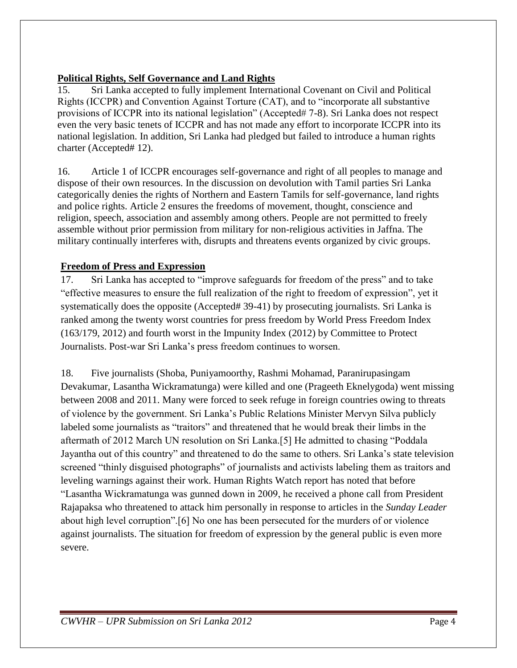#### **Political Rights, Self Governance and Land Rights**

15. Sri Lanka accepted to fully implement International Covenant on Civil and Political Rights (ICCPR) and Convention Against Torture (CAT), and to "incorporate all substantive provisions of ICCPR into its national legislation" (Accepted# 7-8). Sri Lanka does not respect even the very basic tenets of ICCPR and has not made any effort to incorporate ICCPR into its national legislation. In addition, Sri Lanka had pledged but failed to introduce a human rights charter (Accepted# 12).

16. Article 1 of ICCPR encourages self-governance and right of all peoples to manage and dispose of their own resources. In the discussion on devolution with Tamil parties Sri Lanka categorically denies the rights of Northern and Eastern Tamils for self-governance, land rights and police rights. Article 2 ensures the freedoms of movement, thought, conscience and religion, speech, association and assembly among others. People are not permitted to freely assemble without prior permission from military for non-religious activities in Jaffna. The military continually interferes with, disrupts and threatens events organized by civic groups.

#### **Freedom of Press and Expression**

17. Sri Lanka has accepted to "improve safeguards for freedom of the press" and to take "effective measures to ensure the full realization of the right to freedom of expression", yet it systematically does the opposite (Accepted# 39-41) by prosecuting journalists. Sri Lanka is ranked among the twenty worst countries for press freedom by World Press Freedom Index (163/179, 2012) and fourth worst in the Impunity Index (2012) by Committee to Protect Journalists. Post-war Sri Lanka's press freedom continues to worsen.

18. Five journalists (Shoba, Puniyamoorthy, Rashmi Mohamad, Paranirupasingam Devakumar, Lasantha Wickramatunga) were killed and one (Prageeth Eknelygoda) went missing between 2008 and 2011. Many were forced to seek refuge in foreign countries owing to threats of violence by the government. Sri Lanka's Public Relations Minister Mervyn Silva publicly labeled some journalists as "traitors" and threatened that he would break their limbs in the aftermath of 2012 March UN resolution on Sri Lanka.[5] He admitted to chasing "Poddala Jayantha out of this country" and threatened to do the same to others. Sri Lanka's state television screened "thinly disguised photographs" of journalists and activists labeling them as traitors and leveling warnings against their work. Human Rights Watch report has noted that before "Lasantha Wickramatunga was gunned down in 2009, he received a phone call from President Rajapaksa who threatened to attack him personally in response to articles in the *Sunday Leader* about high level corruption".[6] No one has been persecuted for the murders of or violence against journalists. The situation for freedom of expression by the general public is even more severe.